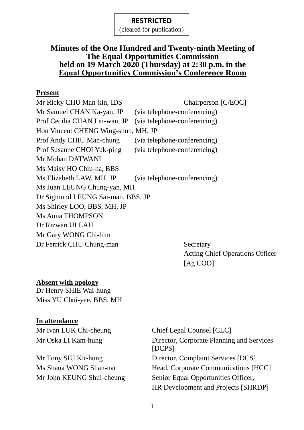(cleared for publication)

#### **Minutes of the One Hundred and Twenty-ninth Meeting of The Equal Opportunities Commission held on 19 March 2020 (Thursday) at 2:30 p.m. in the Equal Opportunities Commission's Conference Room**

#### **Present**

| Mr Ricky CHU Man-kin, IDS           | Chairperson [C/EOC]          |
|-------------------------------------|------------------------------|
| Mr Samuel CHAN Ka-yan, JP           | (via telephone-conferencing) |
| Prof Cecilia CHAN Lai-wan, JP       | (via telephone-conferencing) |
| Hon Vincent CHENG Wing-shun, MH, JP |                              |
| Prof Andy CHIU Man-chung            | (via telephone-conferencing) |
| Prof Susanne CHOI Yuk-ping          | (via telephone-conferencing) |
| Mr Mohan DATWANI                    |                              |
| Ms Maisy HO Chiu-ha, BBS            |                              |
| Ms Elizabeth LAW, MH, JP            | (via telephone-conferencing) |
| Ms Juan LEUNG Chung-yan, MH         |                              |
| Dr Sigmund LEUNG Sai-man, BBS, JP   |                              |
| Ms Shirley LOO, BBS, MH, JP         |                              |
| <b>Ms Anna THOMPSON</b>             |                              |
| Dr Rizwan ULLAH                     |                              |
| Mr Gary WONG Chi-him                |                              |
| Dr Ferrick CHU Chung-man            | Secretary                    |

Acting Chief Operations Officer [Ag COO]

#### **Absent with apology**

Dr Henry SHIE Wai-hung Miss YU Chui-yee, BBS, MH

#### **In attendance**

Mr Ivan LUK Chi-cheung Chief Legal Counsel [CLC] Mr Oska LI Kam-hung Director, Corporate Planning and Services [DCPS] Mr Tony SIU Kit-hung Director, Complaint Services [DCS] Ms Shana WONG Shan-nar Head, Corporate Communications [HCC] Mr John KEUNG Shui-cheung Senior Equal Opportunities Officer, HR Development and Projects [SHRDP]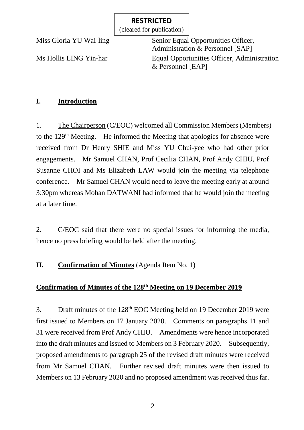(cleared for publication)

Miss Gloria YU Wai-ling Senior Equal Opportunities Officer, Administration & Personnel [SAP] Ms Hollis LING Yin-har Equal Opportunities Officer, Administration & Personnel [EAP]

# **I. Introduction**

1. The Chairperson (C/EOC) welcomed all Commission Members (Members) to the 129<sup>th</sup> Meeting. He informed the Meeting that apologies for absence were received from Dr Henry SHIE and Miss YU Chui-yee who had other prior engagements. Mr Samuel CHAN, Prof Cecilia CHAN, Prof Andy CHIU, Prof Susanne CHOI and Ms Elizabeth LAW would join the meeting via telephone conference. Mr Samuel CHAN would need to leave the meeting early at around 3:30pm whereas Mohan DATWANI had informed that he would join the meeting at a later time.

2. C/EOC said that there were no special issues for informing the media, hence no press briefing would be held after the meeting.

## **II. Confirmation of Minutes** (Agenda Item No. 1)

#### **Confirmation of Minutes of the 128 th Meeting on 19 December 2019**

3. Draft minutes of the 128th EOC Meeting held on 19 December 2019 were first issued to Members on 17 January 2020. Comments on paragraphs 11 and 31 were received from Prof Andy CHIU. Amendments were hence incorporated into the draft minutes and issued to Members on 3 February 2020. Subsequently, proposed amendments to paragraph 25 of the revised draft minutes were received from Mr Samuel CHAN. Further revised draft minutes were then issued to Members on 13 February 2020 and no proposed amendment was received thus far.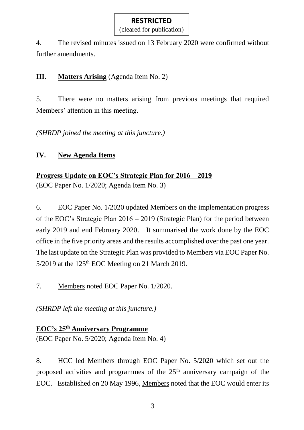(cleared for publication)

4. The revised minutes issued on 13 February 2020 were confirmed without further amendments.

**III. Matters Arising** (Agenda Item No. 2)

5. There were no matters arising from previous meetings that required Members' attention in this meeting.

*(SHRDP joined the meeting at this juncture.)*

# **IV. New Agenda Items**

**Progress Update on EOC's Strategic Plan for 2016 – 2019**

(EOC Paper No. 1/2020; Agenda Item No. 3)

6. EOC Paper No. 1/2020 updated Members on the implementation progress of the EOC's Strategic Plan 2016 – 2019 (Strategic Plan) for the period between early 2019 and end February 2020. It summarised the work done by the EOC office in the five priority areas and the results accomplished over the past one year. The last update on the Strategic Plan was provided to Members via EOC Paper No.  $5/2019$  at the 125<sup>th</sup> EOC Meeting on 21 March 2019.

7. Members noted EOC Paper No. 1/2020.

*(SHRDP left the meeting at this juncture.)*

# **EOC's 25th Anniversary Programme**

(EOC Paper No. 5/2020; Agenda Item No. 4)

8. HCC led Members through EOC Paper No. 5/2020 which set out the proposed activities and programmes of the  $25<sup>th</sup>$  anniversary campaign of the EOC. Established on 20 May 1996, Members noted that the EOC would enter its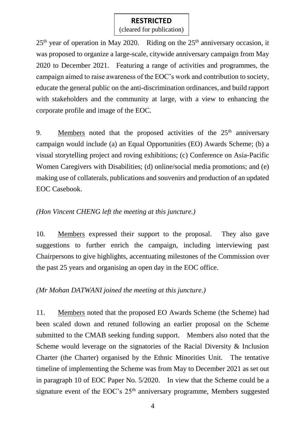(cleared for publication)

 $25<sup>th</sup>$  year of operation in May 2020. Riding on the  $25<sup>th</sup>$  anniversary occasion, it was proposed to organize a large-scale, citywide anniversary campaign from May 2020 to December 2021. Featuring a range of activities and programmes, the campaign aimed to raise awareness of the EOC's work and contribution to society, educate the general public on the anti-discrimination ordinances, and build rapport with stakeholders and the community at large, with a view to enhancing the corporate profile and image of the EOC.

9. Members noted that the proposed activities of the  $25<sup>th</sup>$  anniversary campaign would include (a) an Equal Opportunities (EO) Awards Scheme; (b) a visual storytelling project and roving exhibitions; (c) Conference on Asia-Pacific Women Caregivers with Disabilities; (d) online/social media promotions; and (e) making use of collaterals, publications and souvenirs and production of an updated EOC Casebook.

#### *(Hon Vincent CHENG left the meeting at this juncture.)*

10. Members expressed their support to the proposal. They also gave suggestions to further enrich the campaign, including interviewing past Chairpersons to give highlights, accentuating milestones of the Commission over the past 25 years and organising an open day in the EOC office.

#### *(Mr Mohan DATWANI joined the meeting at this juncture.)*

11. Members noted that the proposed EO Awards Scheme (the Scheme) had been scaled down and retuned following an earlier proposal on the Scheme submitted to the CMAB seeking funding support. Members also noted that the Scheme would leverage on the signatories of the Racial Diversity & Inclusion Charter (the Charter) organised by the Ethnic Minorities Unit. The tentative timeline of implementing the Scheme was from May to December 2021 as set out in paragraph 10 of EOC Paper No. 5/2020. In view that the Scheme could be a signature event of the EOC's  $25<sup>th</sup>$  anniversary programme, Members suggested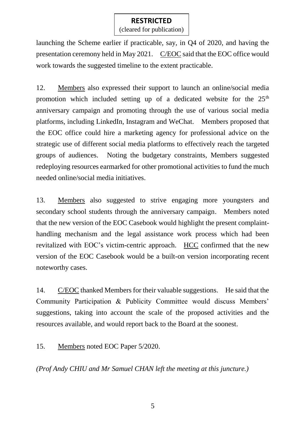(cleared for publication)

launching the Scheme earlier if practicable, say, in Q4 of 2020, and having the presentation ceremony held in May 2021. C/EOC said that the EOC office would work towards the suggested timeline to the extent practicable.

12. Members also expressed their support to launch an online/social media promotion which included setting up of a dedicated website for the  $25<sup>th</sup>$ anniversary campaign and promoting through the use of various social media platforms, including LinkedIn, Instagram and WeChat. Members proposed that the EOC office could hire a marketing agency for professional advice on the strategic use of different social media platforms to effectively reach the targeted groups of audiences. Noting the budgetary constraints, Members suggested redeploying resources earmarked for other promotional activities to fund the much needed online/social media initiatives.

13. Members also suggested to strive engaging more youngsters and secondary school students through the anniversary campaign. Members noted that the new version of the EOC Casebook would highlight the present complainthandling mechanism and the legal assistance work process which had been revitalized with EOC's victim-centric approach. HCC confirmed that the new version of the EOC Casebook would be a built-on version incorporating recent noteworthy cases.

14. C/EOC thanked Members for their valuable suggestions. He said that the Community Participation & Publicity Committee would discuss Members' suggestions, taking into account the scale of the proposed activities and the resources available, and would report back to the Board at the soonest.

15. Members noted EOC Paper 5/2020.

*(Prof Andy CHIU and Mr Samuel CHAN left the meeting at this juncture.)*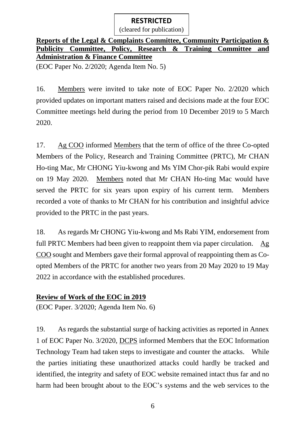(cleared for publication)

## **Reports of the Legal & Complaints Committee, Community Participation & Publicity Committee, Policy, Research & Training Committee and Administration & Finance Committee**

(EOC Paper No. 2/2020; Agenda Item No. 5)

16. Members were invited to take note of EOC Paper No. 2/2020 which provided updates on important matters raised and decisions made at the four EOC Committee meetings held during the period from 10 December 2019 to 5 March 2020.

17. Ag COO informed Members that the term of office of the three Co-opted Members of the Policy, Research and Training Committee (PRTC), Mr CHAN Ho-ting Mac, Mr CHONG Yiu-kwong and Ms YIM Chor-pik Rabi would expire on 19 May 2020. Members noted that Mr CHAN Ho-ting Mac would have served the PRTC for six years upon expiry of his current term. Members recorded a vote of thanks to Mr CHAN for his contribution and insightful advice provided to the PRTC in the past years.

18. As regards Mr CHONG Yiu-kwong and Ms Rabi YIM, endorsement from full PRTC Members had been given to reappoint them via paper circulation. Ag COO sought and Members gave their formal approval of reappointing them as Coopted Members of the PRTC for another two years from 20 May 2020 to 19 May 2022 in accordance with the established procedures.

## **Review of Work of the EOC in 2019**

(EOC Paper. 3/2020; Agenda Item No. 6)

19. As regards the substantial surge of hacking activities as reported in Annex 1 of EOC Paper No. 3/2020, DCPS informed Members that the EOC Information Technology Team had taken steps to investigate and counter the attacks. While the parties initiating these unauthorized attacks could hardly be tracked and identified, the integrity and safety of EOC website remained intact thus far and no harm had been brought about to the EOC's systems and the web services to the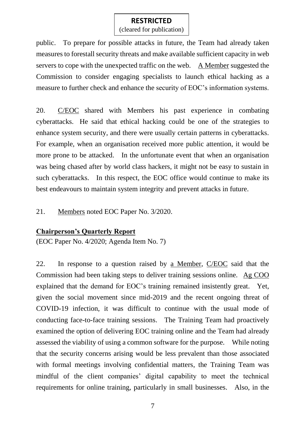(cleared for publication)

public. To prepare for possible attacks in future, the Team had already taken measures to forestall security threats and make available sufficient capacity in web servers to cope with the unexpected traffic on the web. A Member suggested the Commission to consider engaging specialists to launch ethical hacking as a measure to further check and enhance the security of EOC's information systems.

20. C/EOC shared with Members his past experience in combating cyberattacks. He said that ethical hacking could be one of the strategies to enhance system security, and there were usually certain patterns in cyberattacks. For example, when an organisation received more public attention, it would be more prone to be attacked. In the unfortunate event that when an organisation was being chased after by world class hackers, it might not be easy to sustain in such cyberattacks. In this respect, the EOC office would continue to make its best endeavours to maintain system integrity and prevent attacks in future.

21. Members noted EOC Paper No. 3/2020.

#### **Chairperson's Quarterly Report**

(EOC Paper No. 4/2020; Agenda Item No. 7)

22. In response to a question raised by a Member, C/EOC said that the Commission had been taking steps to deliver training sessions online. Ag COO explained that the demand for EOC's training remained insistently great. Yet, given the social movement since mid-2019 and the recent ongoing threat of COVID-19 infection, it was difficult to continue with the usual mode of conducting face-to-face training sessions. The Training Team had proactively examined the option of delivering EOC training online and the Team had already assessed the viability of using a common software for the purpose. While noting that the security concerns arising would be less prevalent than those associated with formal meetings involving confidential matters, the Training Team was mindful of the client companies' digital capability to meet the technical requirements for online training, particularly in small businesses. Also, in the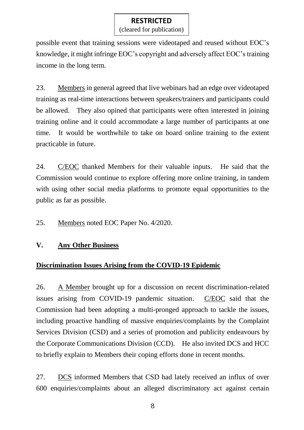(cleared for publication)

possible event that training sessions were videotaped and reused without EOC's knowledge, it might infringe EOC's copyright and adversely affect EOC's training income in the long term.

23. Members in general agreed that live webinars had an edge over videotaped training as real-time interactions between speakers/trainers and participants could be allowed. They also opined that participants were often interested in joining training online and it could accommodate a large number of participants at one time. It would be worthwhile to take on board online training to the extent practicable in future.

24. C/EOC thanked Members for their valuable inputs. He said that the Commission would continue to explore offering more online training, in tandem with using other social media platforms to promote equal opportunities to the public as far as possible.

25. Members noted EOC Paper No. 4/2020.

#### **V. Any Other Business**

#### **Discrimination Issues Arising from the COVID-19 Epidemic**

26. A Member brought up for a discussion on recent discrimination-related issues arising from COVID-19 pandemic situation. C/EOC said that the Commission had been adopting a multi-pronged approach to tackle the issues, including proactive handling of massive enquiries/complaints by the Complaint Services Division (CSD) and a series of promotion and publicity endeavours by the Corporate Communications Division (CCD). He also invited DCS and HCC to briefly explain to Members their coping efforts done in recent months.

27. DCS informed Members that CSD had lately received an influx of over 600 enquiries/complaints about an alleged discriminatory act against certain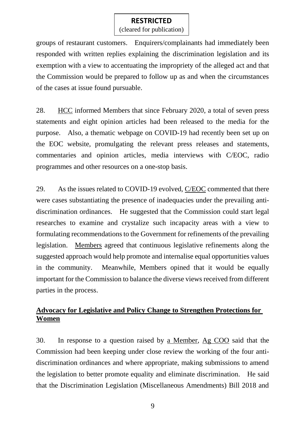(cleared for publication)

groups of restaurant customers. Enquirers/complainants had immediately been responded with written replies explaining the discrimination legislation and its exemption with a view to accentuating the impropriety of the alleged act and that the Commission would be prepared to follow up as and when the circumstances of the cases at issue found pursuable.

28. HCC informed Members that since February 2020, a total of seven press statements and eight opinion articles had been released to the media for the purpose. Also, a thematic webpage on COVID-19 had recently been set up on the EOC website, promulgating the relevant press releases and statements, commentaries and opinion articles, media interviews with C/EOC, radio programmes and other resources on a one-stop basis.

29. As the issues related to COVID-19 evolved, C/EOC commented that there were cases substantiating the presence of inadequacies under the prevailing antidiscrimination ordinances. He suggested that the Commission could start legal researches to examine and crystalize such incapacity areas with a view to formulating recommendations to the Government for refinements of the prevailing legislation. Members agreed that continuous legislative refinements along the suggested approach would help promote and internalise equal opportunities values in the community. Meanwhile, Members opined that it would be equally important for the Commission to balance the diverse views received from different parties in the process.

## **Advocacy for Legislative and Policy Change to Strengthen Protections for Women**

30. In response to a question raised by a Member, Ag COO said that the Commission had been keeping under close review the working of the four antidiscrimination ordinances and where appropriate, making submissions to amend the legislation to better promote equality and eliminate discrimination. He said that the Discrimination Legislation (Miscellaneous Amendments) Bill 2018 and